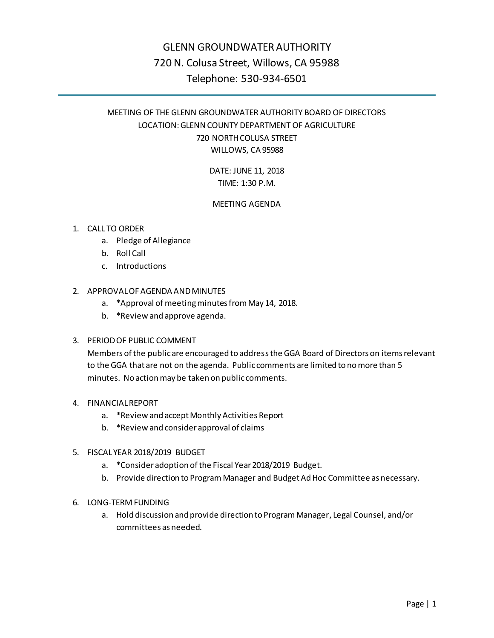# GLENN GROUNDWATER AUTHORITY 720 N. Colusa Street, Willows, CA 95988 Telephone: 530-934-6501

# MEETING OF THE GLENN GROUNDWATER AUTHORITY BOARD OF DIRECTORS LOCATION: GLENN COUNTY DEPARTMENT OF AGRICULTURE 720 NORTH COLUSA STREET WILLOWS, CA 95988

## DATE: JUNE 11, 2018 TIME: 1:30 P.M.

## MEETING AGENDA

## 1. CALL TO ORDER

- a. Pledge of Allegiance
- b. Roll Call
- c. Introductions

## 2. APPROVAL OF AGENDA AND MINUTES

- a. \*Approval of meeting minutes from May 14, 2018.
- b. \*Review and approve agenda.

## 3. PERIOD OF PUBLIC COMMENT

Members of the public are encouraged to address the GGA Board of Directors on items relevant to the GGA that are not on the agenda. Public comments are limited to no more than 5 minutes. No action may be taken on public comments.

## 4. FINANCIAL REPORT

- a. \*Review and accept Monthly Activities Report
- b. \*Review and consider approval of claims
- 5. FISCAL YEAR 2018/2019 BUDGET
	- a. \*Consider adoption of the Fiscal Year 2018/2019 Budget.
	- b. Provide direction to Program Manager and Budget Ad Hoc Committee as necessary.

## 6. LONG-TERM FUNDING

a. Hold discussion and provide direction to Program Manager, Legal Counsel, and/or committees as needed.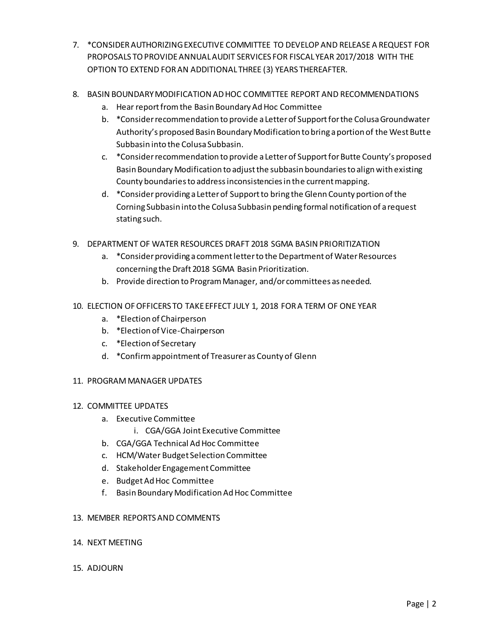- 7. \*CONSIDER AUTHORIZING EXECUTIVE COMMITTEE TO DEVELOP AND RELEASE A REQUEST FOR PROPOSALS TO PROVIDEANNUAL AUDIT SERVICES FOR FISCAL YEAR 2017/2018 WITH THE OPTION TO EXTEND FOR AN ADDITIONAL THREE (3) YEARS THEREAFTER.
- 8. BASIN BOUNDARY MODIFICATION AD HOC COMMITTEE REPORT AND RECOMMENDATIONS
	- a. Hear report from the Basin Boundary Ad Hoc Committee
	- b. \*Consider recommendation to provide a Letter of Support for the Colusa Groundwater Authority's proposed Basin Boundary Modification to bring a portion of the West Butte Subbasin into the Colusa Subbasin.
	- c. \*Consider recommendation to provide a Letter of Support for Butte County's proposed Basin Boundary Modification to adjust the subbasin boundaries to align with existing County boundaries to address inconsistencies in the current mapping.
	- d. \* Consider providing a Letter of Support to bring the Glenn County portion of the Corning Subbasin into the Colusa Subbasin pending formal notification of a request stating such.
- 9. DEPARTMENT OF WATER RESOURCES DRAFT 2018 SGMA BASIN PRIORITIZATION
	- a. \*Consider providing a comment letter to the Department of Water Resources concerning the Draft 2018 SGMA Basin Prioritization.
	- b. Provide direction to Program Manager, and/or committees as needed.
- 10. ELECTION OF OFFICERS TO TAKE EFFECT JULY 1, 2018 FOR A TERM OF ONE YEAR
	- a. \*Election of Chairperson
	- b. \*Election of Vice-Chairperson
	- c. \*Election of Secretary
	- d. \*Confirm appointment of Treasurer as County of Glenn
- 11. PROGRAM MANAGER UPDATES

## 12. COMMITTEE UPDATES

- a. Executive Committee
	- i. CGA/GGA Joint Executive Committee
- b. CGA/GGA Technical Ad Hoc Committee
- c. HCM/Water Budget Selection Committee
- d. Stakeholder Engagement Committee
- e. Budget Ad Hoc Committee
- f. Basin Boundary Modification Ad Hoc Committee

#### 13. MEMBER REPORTS AND COMMENTS

14. NEXT MEETING

#### 15. ADJOURN